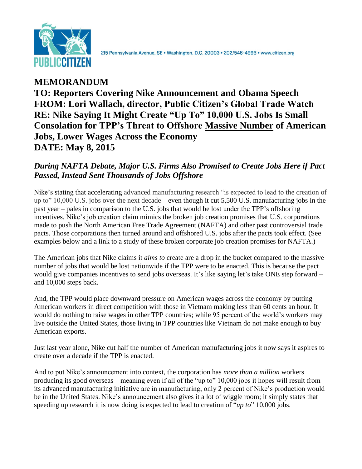

**MEMORANDUM TO: Reporters Covering Nike Announcement and Obama Speech FROM: Lori Wallach, director, Public Citizen's Global Trade Watch RE: Nike Saying It Might Create "Up To" 10,000 U.S. Jobs Is Small Consolation for TPP's Threat to Offshore Massive Number of American Jobs, Lower Wages Across the Economy DATE: May 8, 2015**

## *During NAFTA Debate, Major U.S. Firms Also Promised to Create Jobs Here if Pact Passed, Instead Sent Thousands of Jobs Offshore*

Nike's stating that accelerating advanced manufacturing research "is expected to lead to the creation of up to" 10,000 U.S. jobs over the next decade – even though it cut 5,500 U.S. manufacturing jobs in the past year – pales in comparison to the U.S. jobs that would be lost under the TPP's offshoring incentives. Nike's job creation claim mimics the broken job creation promises that U.S. corporations made to push the North American Free Trade Agreement (NAFTA) and other past controversial trade pacts. Those corporations then turned around and offshored U.S. jobs after the pacts took effect. (See examples below and a link to a study of these broken corporate job creation promises for NAFTA.)

The American jobs that Nike claims it *aims to* create are a drop in the bucket compared to the massive number of jobs that would be lost nationwide if the TPP were to be enacted. This is because the pact would give companies incentives to send jobs overseas. It's like saying let's take ONE step forward – and 10,000 steps back.

And, the TPP would place downward pressure on American wages across the economy by putting American workers in direct competition with those in Vietnam making less than 60 cents an hour. It would do nothing to raise wages in other TPP countries; while 95 percent of the world's workers may live outside the United States, those living in TPP countries like Vietnam do not make enough to buy American exports.

Just last year alone, Nike cut half the number of American manufacturing jobs it now says it aspires to create over a decade if the TPP is enacted.

And to put Nike's announcement into context, the corporation has *more than a million* workers producing its good overseas – meaning even if all of the "up to" 10,000 jobs it hopes will result from its advanced manufacturing initiative are in manufacturing, only 2 percent of Nike's production would be in the United States. Nike's announcement also gives it a lot of wiggle room; it simply states that speeding up research it is now doing is expected to lead to creation of "*up to*" 10,000 jobs.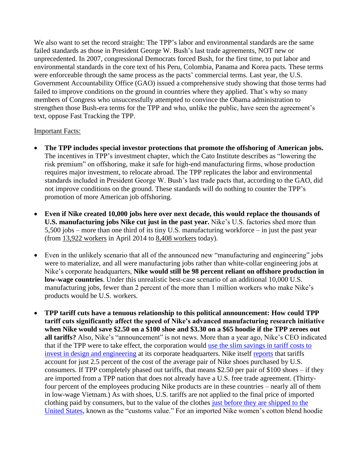We also want to set the record straight: The TPP's labor and environmental standards are the same failed standards as those in President George W. Bush's last trade agreements, NOT new or unprecedented. In 2007, congressional Democrats forced Bush, for the first time, to put labor and environmental standards in the core text of his Peru, Colombia, Panama and Korea pacts. These terms were enforceable through the same process as the pacts' commercial terms. Last year, the U.S. Government Accountability Office (GAO) issued a comprehensive study showing that those terms had failed to improve conditions on the ground in countries where they applied. That's why so many members of Congress who unsuccessfully attempted to convince the Obama administration to strengthen those Bush-era terms for the TPP and who, unlike the public, have seen the agreement's text, oppose Fast Tracking the TPP.

## Important Facts:

- **The TPP includes special investor protections that promote the offshoring of American jobs.** The incentives in TPP's investment chapter, which the Cato Institute describes as "lowering the risk premium" on offshoring, make it safe for high-end manufacturing firms, whose production requires major investment, to relocate abroad. The TPP replicates the labor and environmental standards included in President George W. Bush's last trade pacts that, according to the GAO, did not improve conditions on the ground. These standards will do nothing to counter the TPP's promotion of more American job offshoring.
- **Even if Nike created 10,000 jobs here over next decade, this would replace the thousands of U.S. manufacturing jobs Nike cut just in the past year.** Nike's U.S. factories shed more than 5,500 jobs – more than one third of its tiny U.S. manufacturing workforce – in just the past year (from [13,922 workers](http://www.businessinsider.com/how-nike-changed-the-shoe-industry-2014-4) in April 2014 to [8,408 workers](http://manufacturingmap.nikeinc.com/) today).
- Even in the unlikely scenario that all of the announced new "manufacturing and engineering" jobs were to materialize, and all were manufacturing jobs rather than white-collar engineering jobs at Nike's corporate headquarters, **Nike would still be 98 percent reliant on offshore production in low-wage countries**. Under this unrealistic best-case scenario of an additional 10,000 U.S. manufacturing jobs, fewer than 2 percent of the more than 1 million workers who make Nike's products would be U.S. workers.
- **TPP tariff cuts have a tenuous relationship to this political announcement: How could TPP tariff cuts significantly affect the speed of Nike's advanced manufacturing research initiative when Nike would save \$2.50 on a \$100 shoe and \$3.30 on a \$65 hoodie if the TPP zeroes out all tariffs?** Also, Nike's "announcement" is not news. More than a year ago, Nike's CEO indicated that if the TPP were to take effect, the corporation would [use the slim savings in tariff costs to](http://www.bizjournals.com/boston/blog/mass_roundup/2014/05/nike-ceo-were-still-hopeful-a-deal-can-be-reached.html?page=all)  [invest in design and engineering](http://www.bizjournals.com/boston/blog/mass_roundup/2014/05/nike-ceo-were-still-hopeful-a-deal-can-be-reached.html?page=all) at its corporate headquarters. Nike itself [reports](http://www.bizjournals.com/portland/blog/threads_and_laces/2014/12/the-cost-breakdown-of-a-100-pair-of-sneakers.html?s=image_gallery) that tariffs account for just 2.5 percent of the cost of the average pair of Nike shoes purchased by U.S. consumers. If TPP completely phased out tariffs, that means \$2.50 per pair of \$100 shoes – if they are imported from a TPP nation that does not already have a U.S. free trade agreement. (Thirtyfour percent of the employees producing Nike products are in these countries – nearly all of them in low-wage Vietnam.) As with shoes, U.S. tariffs are not applied to the final price of imported clothing paid by consumers, but to the value of the clothes [just before they are shipped to the](http://www.usitc.gov/faqs/tariff_affairs_faqs.htm)  [United States,](http://www.usitc.gov/faqs/tariff_affairs_faqs.htm) known as the "customs value." For an imported Nike women's cotton blend hoodie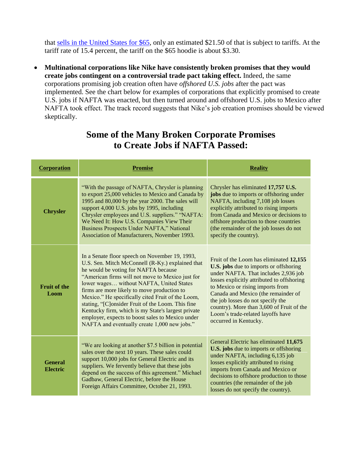that [sells in the United States for \\$65,](http://store.nike.com/us/en_us/pd/rally-pullover-hoodie/pid-10201380/pgid-831816) only an estimated \$21.50 of that is subject to tariffs. At the tariff rate of 15.4 percent, the tariff on the \$65 hoodie is about \$3.30.

 **Multinational corporations like Nike have consistently broken promises that they would create jobs contingent on a controversial trade pact taking effect.** Indeed, the same corporations promising job creation often have *offshored U.S. jobs* after the pact was implemented. See the chart below for examples of corporations that explicitly promised to create U.S. jobs if NAFTA was enacted, but then turned around and offshored U.S. jobs to Mexico after NAFTA took effect. The track record suggests that Nike's job creation promises should be viewed skeptically.

| <b>Corporation</b>                | <b>Promise</b>                                                                                                                                                                                                                                                                                                                                                                                                                                                                                                                                                | <b>Reality</b>                                                                                                                                                                                                                                                                                                                                                                                            |
|-----------------------------------|---------------------------------------------------------------------------------------------------------------------------------------------------------------------------------------------------------------------------------------------------------------------------------------------------------------------------------------------------------------------------------------------------------------------------------------------------------------------------------------------------------------------------------------------------------------|-----------------------------------------------------------------------------------------------------------------------------------------------------------------------------------------------------------------------------------------------------------------------------------------------------------------------------------------------------------------------------------------------------------|
| <b>Chrysler</b>                   | "With the passage of NAFTA, Chrysler is planning<br>to export 25,000 vehicles to Mexico and Canada by<br>1995 and 80,000 by the year 2000. The sales will<br>support 4,000 U.S. jobs by 1995, including<br>Chrysler employees and U.S. suppliers." "NAFTA:<br>We Need It: How U.S. Companies View Their<br>Business Prospects Under NAFTA," National<br>Association of Manufacturers, November 1993.                                                                                                                                                          | Chrysler has eliminated 17,757 U.S.<br>jobs due to imports or offshoring under<br>NAFTA, including 7,108 job losses<br>explicitly attributed to rising imports<br>from Canada and Mexico or decisions to<br>offshore production to those countries<br>(the remainder of the job losses do not<br>specify the country).                                                                                    |
| <b>Fruit of the</b><br>Loom       | In a Senate floor speech on November 19, 1993,<br>U.S. Sen. Mitch McConnell (R-Ky.) explained that<br>he would be voting for NAFTA because<br>"American firms will not move to Mexico just for<br>lower wages without NAFTA, United States<br>firms are more likely to move production to<br>Mexico." He specifically cited Fruit of the Loom,<br>stating, "[C]onsider Fruit of the Loom. This fine<br>Kentucky firm, which is my State's largest private<br>employer, expects to boost sales to Mexico under<br>NAFTA and eventually create 1,000 new jobs." | Fruit of the Loom has eliminated 12,155<br><b>U.S.</b> jobs due to imports or offshoring<br>under NAFTA. That includes 2,936 job<br>losses explicitly attributed to offshoring<br>to Mexico or rising imports from<br>Canada and Mexico (the remainder of<br>the job losses do not specify the<br>country). More than 3,600 of Fruit of the<br>Loom's trade-related layoffs have<br>occurred in Kentucky. |
| <b>General</b><br><b>Electric</b> | "We are looking at another \$7.5 billion in potential<br>sales over the next 10 years. These sales could<br>support 10,000 jobs for General Electric and its<br>suppliers. We fervently believe that these jobs<br>depend on the success of this agreement." Michael<br>Gadbaw, General Electric, before the House<br>Foreign Affairs Committee, October 21, 1993.                                                                                                                                                                                            | General Electric has eliminated 11,675<br><b>U.S.</b> jobs due to imports or offshoring<br>under NAFTA, including 6,135 job<br>losses explicitly attributed to rising<br>imports from Canada and Mexico or<br>decisions to offshore production to those<br>countries (the remainder of the job<br>losses do not specify the country).                                                                     |

## **Some of the Many Broken Corporate Promises to Create Jobs if NAFTA Passed:**